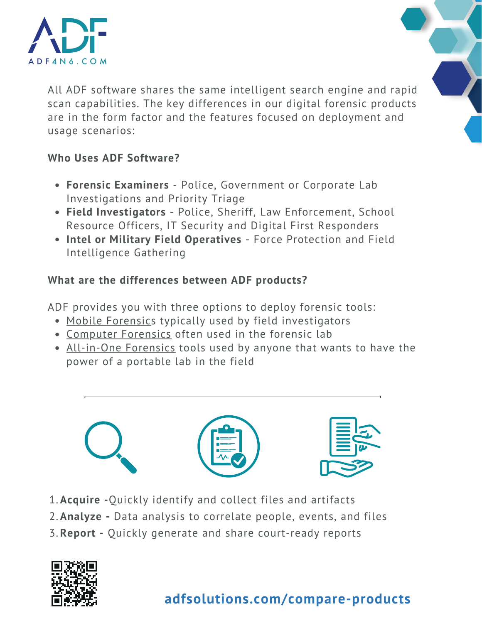

All ADF software shares the same intelligent search engine and rapid scan capabilities. The key differences in our digital [forensic](https://www.adfsolutions.com/digital-forensics) products are in the form factor and the features focused on deployment and usage scenarios:

### **Who Uses ADF Software?**

- **Forensic Examiners** Police, Government or Corporate Lab Investigations and Priority Triage
- **Field Investigators** Police, Sheriff, Law Enforcement, School Resource Officers, IT Security and Digital First Responders
- **Intel or Military Field Operatives** Force Protection and Field Intelligence Gathering

## **What are the differences between ADF products?**

ADF provides you with three options to deploy forensic tools:

- Mobile Forensics typically used by field investigators
- Computer Forensics often used in the forensic lab
- All-in-One Forensics tools used by anyone that wants to have the power of a portable lab in the field



- **Acquire -**Quickly identify and collect files and artifacts 1.
- **Analyze -** Data analysis to correlate people, events, and files 2.
- **Report -** Quickly generate and share court-ready reports 3.